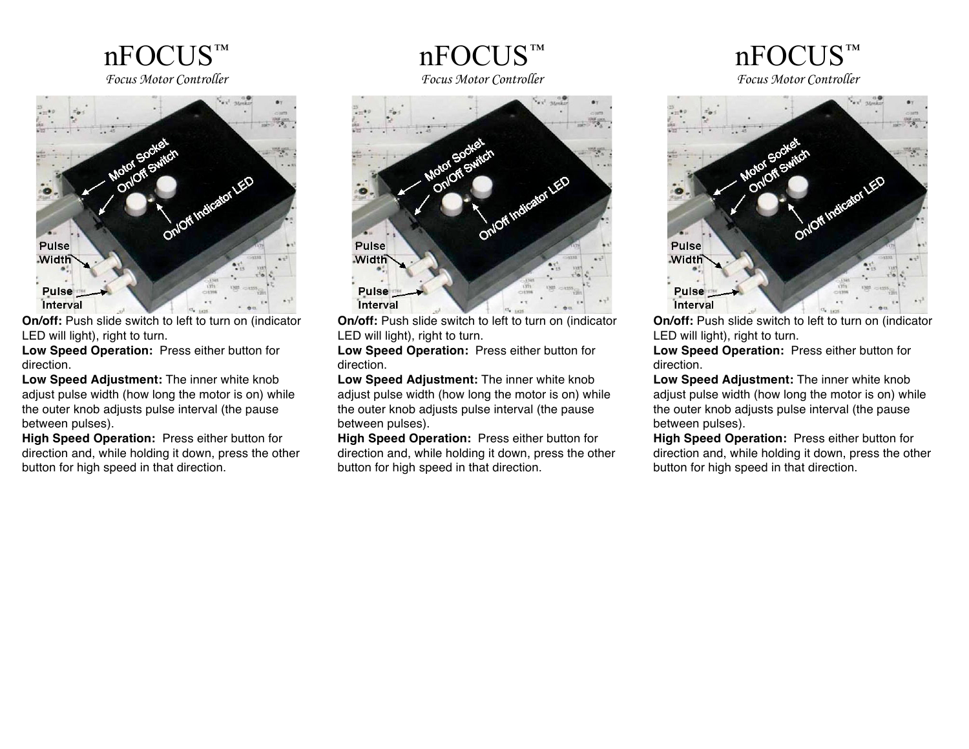nFOCUS*™ Focus Motor Controller*



**On/off:** Push slide switch to left to turn on (indicator LED will light), right to turn.

**Low Speed Operation:** Press either button for direction.

**Low Speed Adjustment:** The inner white knob adjust pulse width (how long the motor is on) while the outer knob adjusts pulse interval (the pause between pulses).

**High Speed Operation:** Press either button for direction and, while holding it down, press the other button for high speed in that direction.

nFOCUS*™ Focus Motor Controller*

## Onlow Indicator LED Pulse .Width **Pulse Interval**

**On/off:** Push slide switch to left to turn on (indicator LED will light), right to turn.

**Low Speed Operation:** Press either button for direction.

**Low Speed Adjustment:** The inner white knob adjust pulse width (how long the motor is on) while the outer knob adjusts pulse interval (the pause between pulses).

**High Speed Operation:** Press either button for direction and, while holding it down, press the other button for high speed in that direction.

## nFOCUS*™ Focus Motor Controller*



**On/off:** Push slide switch to left to turn on (indicator LED will light), right to turn.

**Low Speed Operation:** Press either button for direction.

**Low Speed Adjustment:** The inner white knob adjust pulse width (how long the motor is on) while the outer knob adjusts pulse interval (the pause between pulses).

**High Speed Operation:** Press either button for direction and, while holding it down, press the other button for high speed in that direction.